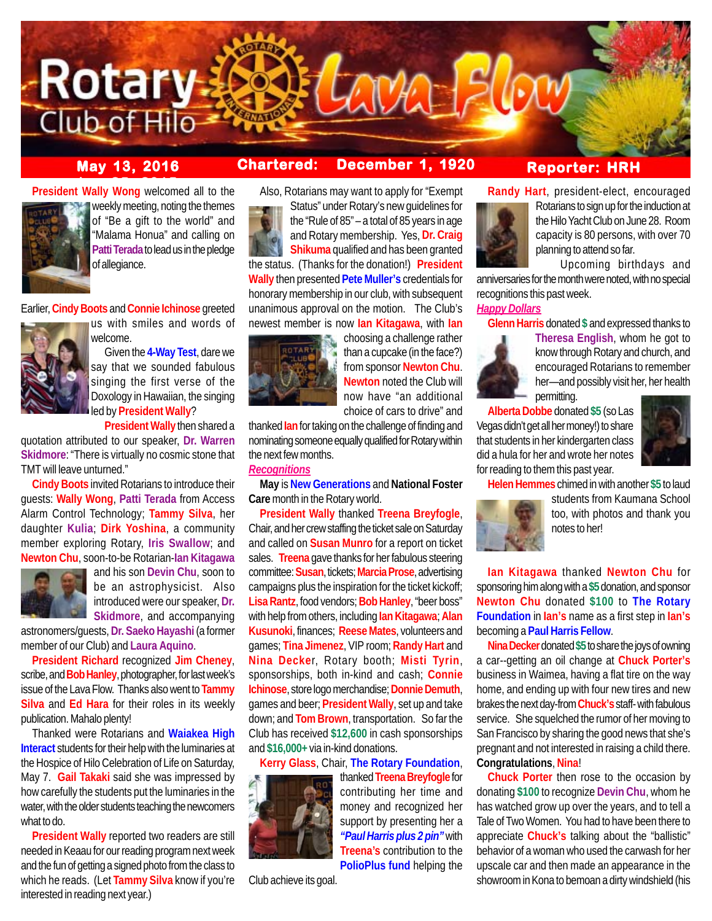

## **May 13, 2016 Chartered: December 1, 1920**

**President Wally Wong** welcomed all to the



weekly meeting, noting the themes of "Be a gift to the world" and "Malama Honua" and calling on **Patti Terada** to lead us in the pledge of allegiance.

Earlier, **Cindy Boots** and **Connie Ichinose** greeted



welcome. Given the **4-Way Test**, dare we say that we sounded fabulous

singing the first verse of the Doxology in Hawaiian, the singing led by **President Wally**?

**President Wally** then shared a quotation attributed to our speaker, **Dr. Warren Skidmore**: "There is virtually no cosmic stone that TMT will leave unturned."

**Cindy Boots** invited Rotarians to introduce their guests: **Wally Wong**, **Patti Terada** from Access Alarm Control Technology; **Tammy Silva**, her daughter **Kulia**; **Dirk Yoshina**, a community member exploring Rotary, **Iris Swallow**; and **Newton Chu**, soon-to-be Rotarian-**Ian Kitagawa**



and his son **Devin Chu**, soon to be an astrophysicist. Also introduced were our speaker, **Dr. Skidmore**, and accompanying

astronomers/guests, **Dr. Saeko Hayashi** (a former member of our Club) and **Laura Aquino**.

**President Richard** recognized **Jim Cheney**, scribe, and **Bob Hanley**, photographer, for last week's issue of the Lava Flow. Thanks also went to **Tammy Silva** and **Ed Hara** for their roles in its weekly publication. Mahalo plenty!

Thanked were Rotarians and **Waiakea High Interact** students for their help with the luminaries at the Hospice of Hilo Celebration of Life on Saturday, May 7. **Gail Takaki** said she was impressed by how carefully the students put the luminaries in the water, with the older students teaching the newcomers what to do.

**President Wally** reported two readers are still needed in Keaau for our reading program next week and the fun of getting a signed photo from the class to which he reads. (Let **Tammy Silva** know if you're interested in reading next year.)

Also, Rotarians may want to apply for "Exempt

Status" under Rotary's new guidelines for the "Rule of 85" – a total of 85 years in age and Rotary membership. Yes, **Dr. Craig Shikuma** qualified and has been granted the status. (Thanks for the donation!) **President Wally** then presented **Pete Muller's** credentials for honorary membership in our club, with subsequent unanimous approval on the motion. The Club's newest member is now **Ian Kitagawa**, with **Ian**



choosing a challenge rather than a cupcake (in the face?) from sponsor **Newton Chu**. **Newton** noted the Club will now have "an additional choice of cars to drive" and

thanked **Ian** for taking on the challenge of finding and nominating someone equally qualified for Rotary within the next few months.

#### *Recognitions*

**May** is **New Generations** and **National Foster Care** month in the Rotary world.

**President Wally** thanked **Treena Breyfogle**, Chair, and her crew staffing the ticket sale on Saturday and called on **Susan Munro** for a report on ticket sales. **Treena** gave thanks for her fabulous steering committee: **Susan**, tickets; **Marcia Prose**, advertising campaigns plus the inspiration for the ticket kickoff; **Lisa Rantz**, food vendors; **Bob Hanley**, "beer boss" with help from others, including **Ian Kitagawa**; **Alan Kusunoki**, finances; **Reese Mates**, volunteers and games; **Tina Jimenez**, VIP room; **Randy Hart** and **Nina Decke**r, Rotary booth; **Misti Tyrin**, sponsorships, both in-kind and cash; **Connie Ichinose**, store logo merchandise; **Donnie Demuth**, games and beer; **President Wally**, set up and take down; and **Tom Brown**, transportation. So far the Club has received **\$12,600** in cash sponsorships and **\$16,000+** via in-kind donations.

**Kerry Glass**, Chair, **The Rotary Foundation**,



thanked **Treena Breyfogle** for contributing her time and money and recognized her support by presenting her a *"Paul Harris plus 2 pin"* with **Treena's** contribution to the **PolioPlus fund** helping the

Club achieve its goal.

# **Reporter: HRH**

**Randy Hart**, president-elect, encouraged



Rotarians to sign up for the induction at the Hilo Yacht Club on June 28. Room capacity is 80 persons, with over 70 planning to attend so far.

Upcoming birthdays and anniversaries for the month were noted, with no special recognitions this past week.

## *Happy Dollars*

**Glenn Harris** donated **\$** and expressed thanks to



**Theresa English**, whom he got to know through Rotary and church, and encouraged Rotarians to remember her—and possibly visit her, her health permitting.

**Alberta Dobbe** donated **\$5** (so Las Vegas didn't get all her money!) to share that students in her kindergarten class did a hula for her and wrote her notes for reading to them this past year.



**Helen Hemmes** chimed in with another **\$5** to laud



students from Kaumana School too, with photos and thank you notes to her!

**Ian Kitagawa** thanked **Newton Chu** for sponsoring him along with a **\$5** donation, and sponsor **Newton Chu** donated **\$100** to **The Rotary Foundation** in **Ian's** name as a first step in **Ian's** becoming a **Paul Harris Fellow**.

**Nina Decker** donated **\$5** to share the joys of owning a car--getting an oil change at **Chuck Porter's** business in Waimea, having a flat tire on the way home, and ending up with four new tires and new brakes the next day-from **Chuck's** staff- with fabulous service. She squelched the rumor of her moving to San Francisco by sharing the good news that she's pregnant and not interested in raising a child there. **Congratulations**, **Nina**!

**Chuck Porter** then rose to the occasion by donating **\$100** to recognize **Devin Chu**, whom he has watched grow up over the years, and to tell a Tale of Two Women. You had to have been there to appreciate **Chuck's** talking about the "ballistic" behavior of a woman who used the carwash for her upscale car and then made an appearance in the showroom in Kona to bemoan a dirty windshield (his